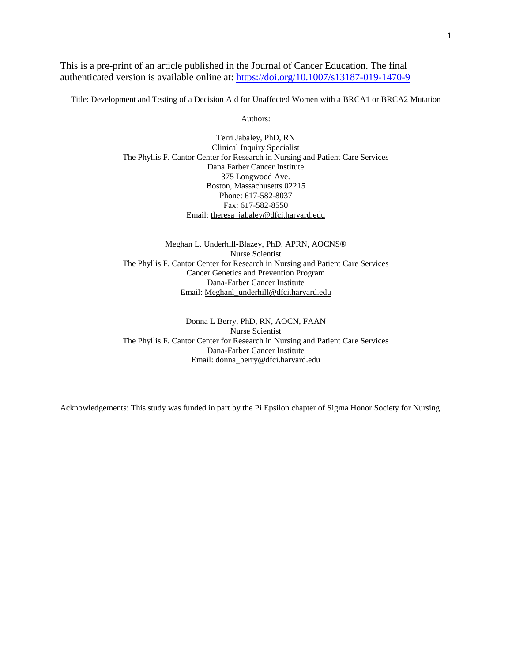This is a pre-print of an article published in the Journal of Cancer Education. The final authenticated version is available online at:<https://doi.org/10.1007/s13187-019-1470-9>

Title: Development and Testing of a Decision Aid for Unaffected Women with a BRCA1 or BRCA2 Mutation

Authors:

Terri Jabaley, PhD, RN Clinical Inquiry Specialist The Phyllis F. Cantor Center for Research in Nursing and Patient Care Services Dana Farber Cancer Institute 375 Longwood Ave. Boston, Massachusetts 02215 Phone: 617-582-8037 Fax: 617-582-8550 Email: [theresa\\_jabaley@dfci.harvard.edu](mailto:theresa_jabaley@dfci.harvard.edu)

Meghan L. Underhill-Blazey, PhD, APRN, AOCNS® Nurse Scientist The Phyllis F. Cantor Center for Research in Nursing and Patient Care Services Cancer Genetics and Prevention Program Dana-Farber Cancer Institute Email: [Meghanl\\_underhill@dfci.harvard.edu](mailto:Meghanl_underhill@dfci.harvard.edu)

Donna L Berry, PhD, RN, AOCN, FAAN Nurse Scientist The Phyllis F. Cantor Center for Research in Nursing and Patient Care Services Dana-Farber Cancer Institute Email: [donna\\_berry@dfci.harvard.edu](mailto:donna_berry@dfci.harvard.edu)

Acknowledgements: This study was funded in part by the Pi Epsilon chapter of Sigma Honor Society for Nursing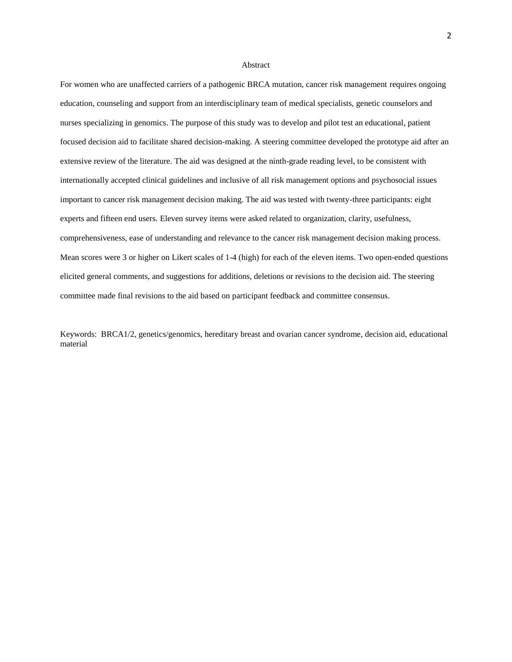### Abstract

For women who are unaffected carriers of a pathogenic BRCA mutation, cancer risk management requires ongoing education, counseling and support from an interdisciplinary team of medical specialists, genetic counselors and nurses specializing in genomics. The purpose of this study was to develop and pilot test an educational, patient focused decision aid to facilitate shared decision-making. A steering committee developed the prototype aid after an extensive review of the literature. The aid was designed at the ninth-grade reading level, to be consistent with internationally accepted clinical guidelines and inclusive of all risk management options and psychosocial issues important to cancer risk management decision making. The aid was tested with twenty-three participants: eight experts and fifteen end users. Eleven survey items were asked related to organization, clarity, usefulness, comprehensiveness, ease of understanding and relevance to the cancer risk management decision making process. Mean scores were 3 or higher on Likert scales of 1-4 (high) for each of the eleven items. Two open-ended questions elicited general comments, and suggestions for additions, deletions or revisions to the decision aid. The steering committee made final revisions to the aid based on participant feedback and committee consensus.

Keywords: BRCA1/2, genetics/genomics, hereditary breast and ovarian cancer syndrome, decision aid, educational material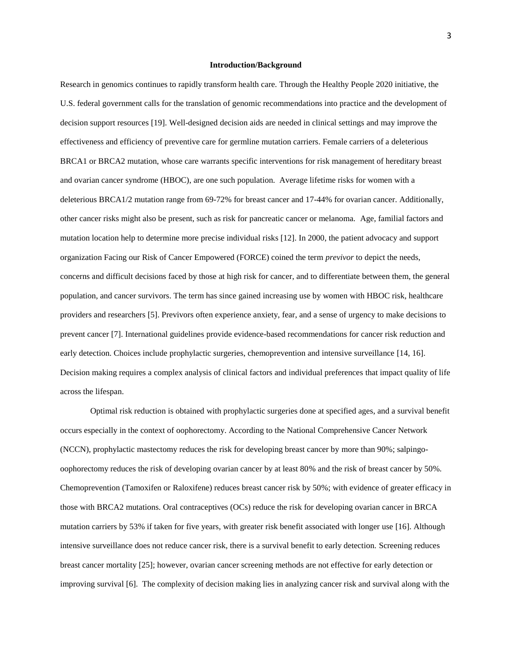#### **Introduction/Background**

Research in genomics continues to rapidly transform health care. Through the Healthy People 2020 initiative, the U.S. federal government calls for the translation of genomic recommendations into practice and the development of decision support resources [19]. Well-designed decision aids are needed in clinical settings and may improve the effectiveness and efficiency of preventive care for germline mutation carriers. Female carriers of a deleterious BRCA1 or BRCA2 mutation, whose care warrants specific interventions for risk management of hereditary breast and ovarian cancer syndrome (HBOC), are one such population. Average lifetime risks for women with a deleterious BRCA1/2 mutation range from 69-72% for breast cancer and 17-44% for ovarian cancer. Additionally, other cancer risks might also be present, such as risk for pancreatic cancer or melanoma. Age, familial factors and mutation location help to determine more precise individual risks [12]. In 2000, the patient advocacy and support organization Facing our Risk of Cancer Empowered (FORCE) coined the term *previvor* to depict the needs, concerns and difficult decisions faced by those at high risk for cancer, and to differentiate between them, the general population, and cancer survivors. The term has since gained increasing use by women with HBOC risk, healthcare providers and researchers [5]. Previvors often experience anxiety, fear, and a sense of urgency to make decisions to prevent cancer [7]. International guidelines provide evidence-based recommendations for cancer risk reduction and early detection. Choices include prophylactic surgeries, chemoprevention and intensive surveillance [14, 16]. Decision making requires a complex analysis of clinical factors and individual preferences that impact quality of life across the lifespan.

Optimal risk reduction is obtained with prophylactic surgeries done at specified ages, and a survival benefit occurs especially in the context of oophorectomy. According to the National Comprehensive Cancer Network (NCCN), prophylactic mastectomy reduces the risk for developing breast cancer by more than 90%; salpingooophorectomy reduces the risk of developing ovarian cancer by at least 80% and the risk of breast cancer by 50%. Chemoprevention (Tamoxifen or Raloxifene) reduces breast cancer risk by 50%; with evidence of greater efficacy in those with BRCA2 mutations. Oral contraceptives (OCs) reduce the risk for developing ovarian cancer in BRCA mutation carriers by 53% if taken for five years, with greater risk benefit associated with longer use [16]. Although intensive surveillance does not reduce cancer risk, there is a survival benefit to early detection. Screening reduces breast cancer mortality [25]; however, ovarian cancer screening methods are not effective for early detection or improving survival [6]. The complexity of decision making lies in analyzing cancer risk and survival along with the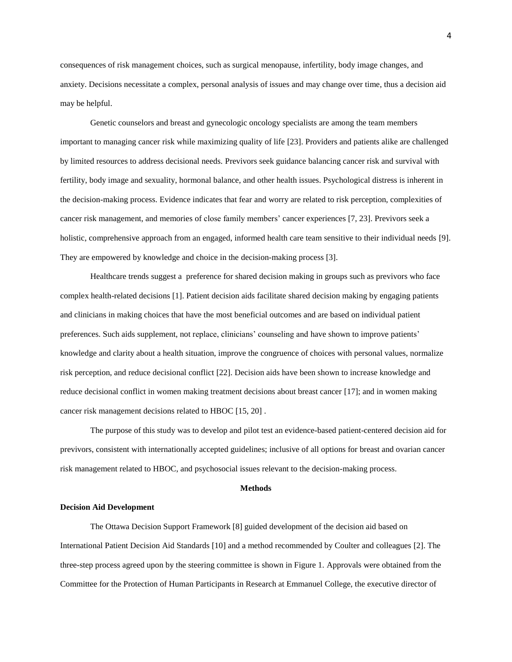consequences of risk management choices, such as surgical menopause, infertility, body image changes, and anxiety. Decisions necessitate a complex, personal analysis of issues and may change over time, thus a decision aid may be helpful.

Genetic counselors and breast and gynecologic oncology specialists are among the team members important to managing cancer risk while maximizing quality of life [23]. Providers and patients alike are challenged by limited resources to address decisional needs. Previvors seek guidance balancing cancer risk and survival with fertility, body image and sexuality, hormonal balance, and other health issues. Psychological distress is inherent in the decision-making process. Evidence indicates that fear and worry are related to risk perception, complexities of cancer risk management, and memories of close family members' cancer experiences [7, 23]. Previvors seek a holistic, comprehensive approach from an engaged, informed health care team sensitive to their individual needs [9]. They are empowered by knowledge and choice in the decision-making process [3].

Healthcare trends suggest a preference for shared decision making in groups such as previvors who face complex health-related decisions [1]. Patient decision aids facilitate shared decision making by engaging patients and clinicians in making choices that have the most beneficial outcomes and are based on individual patient preferences. Such aids supplement, not replace, clinicians' counseling and have shown to improve patients' knowledge and clarity about a health situation, improve the congruence of choices with personal values, normalize risk perception, and reduce decisional conflict [22]. Decision aids have been shown to increase knowledge and reduce decisional conflict in women making treatment decisions about breast cancer [17]; and in women making cancer risk management decisions related to HBOC [15, 20] .

The purpose of this study was to develop and pilot test an evidence-based patient-centered decision aid for previvors, consistent with internationally accepted guidelines; inclusive of all options for breast and ovarian cancer risk management related to HBOC, and psychosocial issues relevant to the decision-making process.

### **Methods**

#### **Decision Aid Development**

The Ottawa Decision Support Framework [8] guided development of the decision aid based on International Patient Decision Aid Standards [10] and a method recommended by Coulter and colleagues [2]. The three-step process agreed upon by the steering committee is shown in Figure 1. Approvals were obtained from the Committee for the Protection of Human Participants in Research at Emmanuel College, the executive director of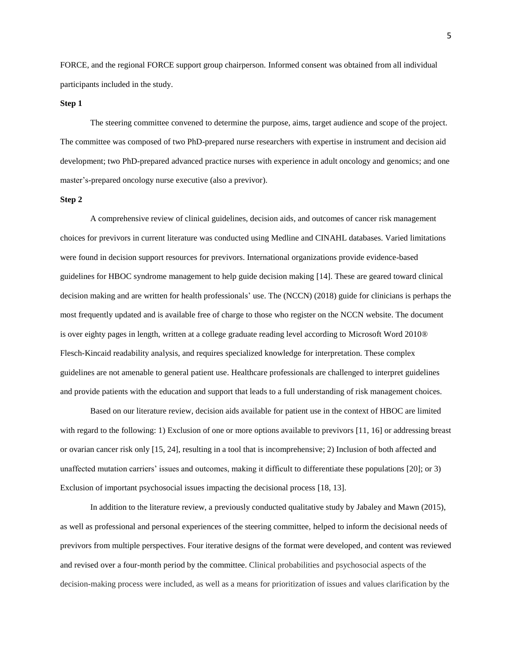FORCE, and the regional FORCE support group chairperson. Informed consent was obtained from all individual participants included in the study.

### **Step 1**

The steering committee convened to determine the purpose, aims, target audience and scope of the project. The committee was composed of two PhD-prepared nurse researchers with expertise in instrument and decision aid development; two PhD-prepared advanced practice nurses with experience in adult oncology and genomics; and one master's-prepared oncology nurse executive (also a previvor).

#### **Step 2**

A comprehensive review of clinical guidelines, decision aids, and outcomes of cancer risk management choices for previvors in current literature was conducted using Medline and CINAHL databases. Varied limitations were found in decision support resources for previvors. International organizations provide evidence-based guidelines for HBOC syndrome management to help guide decision making [14]. These are geared toward clinical decision making and are written for health professionals' use. The (NCCN) (2018) guide for clinicians is perhaps the most frequently updated and is available free of charge to those who register on the NCCN website. The document is over eighty pages in length, written at a college graduate reading level according to Microsoft Word 2010® Flesch-Kincaid readability analysis, and requires specialized knowledge for interpretation. These complex guidelines are not amenable to general patient use. Healthcare professionals are challenged to interpret guidelines and provide patients with the education and support that leads to a full understanding of risk management choices.

Based on our literature review, decision aids available for patient use in the context of HBOC are limited with regard to the following: 1) Exclusion of one or more options available to previvors [11, 16] or addressing breast or ovarian cancer risk only [15, 24], resulting in a tool that is incomprehensive; 2) Inclusion of both affected and unaffected mutation carriers' issues and outcomes, making it difficult to differentiate these populations [20]; or 3) Exclusion of important psychosocial issues impacting the decisional process [18, 13].

In addition to the literature review, a previously conducted qualitative study by Jabaley and Mawn (2015), as well as professional and personal experiences of the steering committee, helped to inform the decisional needs of previvors from multiple perspectives. Four iterative designs of the format were developed, and content was reviewed and revised over a four-month period by the committee. Clinical probabilities and psychosocial aspects of the decision-making process were included, as well as a means for prioritization of issues and values clarification by the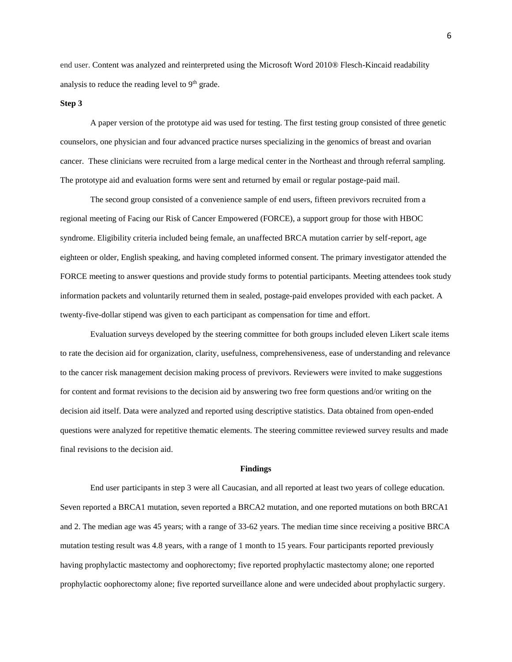end user. Content was analyzed and reinterpreted using the Microsoft Word 2010® Flesch-Kincaid readability analysis to reduce the reading level to  $9<sup>th</sup>$  grade.

## **Step 3**

A paper version of the prototype aid was used for testing. The first testing group consisted of three genetic counselors, one physician and four advanced practice nurses specializing in the genomics of breast and ovarian cancer. These clinicians were recruited from a large medical center in the Northeast and through referral sampling. The prototype aid and evaluation forms were sent and returned by email or regular postage-paid mail.

The second group consisted of a convenience sample of end users, fifteen previvors recruited from a regional meeting of Facing our Risk of Cancer Empowered (FORCE), a support group for those with HBOC syndrome. Eligibility criteria included being female, an unaffected BRCA mutation carrier by self-report, age eighteen or older, English speaking, and having completed informed consent. The primary investigator attended the FORCE meeting to answer questions and provide study forms to potential participants. Meeting attendees took study information packets and voluntarily returned them in sealed, postage-paid envelopes provided with each packet. A twenty-five-dollar stipend was given to each participant as compensation for time and effort.

Evaluation surveys developed by the steering committee for both groups included eleven Likert scale items to rate the decision aid for organization, clarity, usefulness, comprehensiveness, ease of understanding and relevance to the cancer risk management decision making process of previvors. Reviewers were invited to make suggestions for content and format revisions to the decision aid by answering two free form questions and/or writing on the decision aid itself. Data were analyzed and reported using descriptive statistics. Data obtained from open-ended questions were analyzed for repetitive thematic elements. The steering committee reviewed survey results and made final revisions to the decision aid.

### **Findings**

End user participants in step 3 were all Caucasian, and all reported at least two years of college education. Seven reported a BRCA1 mutation, seven reported a BRCA2 mutation, and one reported mutations on both BRCA1 and 2. The median age was 45 years; with a range of 33-62 years. The median time since receiving a positive BRCA mutation testing result was 4.8 years, with a range of 1 month to 15 years. Four participants reported previously having prophylactic mastectomy and oophorectomy; five reported prophylactic mastectomy alone; one reported prophylactic oophorectomy alone; five reported surveillance alone and were undecided about prophylactic surgery.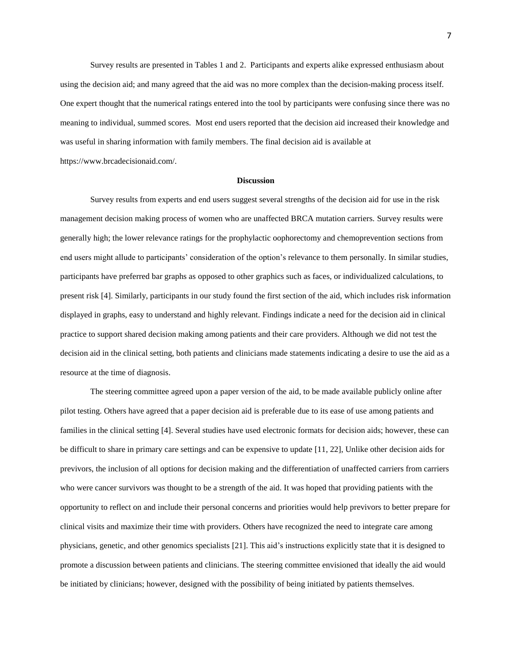Survey results are presented in Tables 1 and 2. Participants and experts alike expressed enthusiasm about using the decision aid; and many agreed that the aid was no more complex than the decision-making process itself. One expert thought that the numerical ratings entered into the tool by participants were confusing since there was no meaning to individual, summed scores. Most end users reported that the decision aid increased their knowledge and was useful in sharing information with family members. The final decision aid is available at https://www.brcadecisionaid.com/.

#### **Discussion**

Survey results from experts and end users suggest several strengths of the decision aid for use in the risk management decision making process of women who are unaffected BRCA mutation carriers. Survey results were generally high; the lower relevance ratings for the prophylactic oophorectomy and chemoprevention sections from end users might allude to participants' consideration of the option's relevance to them personally. In similar studies, participants have preferred bar graphs as opposed to other graphics such as faces, or individualized calculations, to present risk [4]. Similarly, participants in our study found the first section of the aid, which includes risk information displayed in graphs, easy to understand and highly relevant. Findings indicate a need for the decision aid in clinical practice to support shared decision making among patients and their care providers. Although we did not test the decision aid in the clinical setting, both patients and clinicians made statements indicating a desire to use the aid as a resource at the time of diagnosis.

The steering committee agreed upon a paper version of the aid, to be made available publicly online after pilot testing. Others have agreed that a paper decision aid is preferable due to its ease of use among patients and families in the clinical setting [4]. Several studies have used electronic formats for decision aids; however, these can be difficult to share in primary care settings and can be expensive to update [11, 22], Unlike other decision aids for previvors, the inclusion of all options for decision making and the differentiation of unaffected carriers from carriers who were cancer survivors was thought to be a strength of the aid. It was hoped that providing patients with the opportunity to reflect on and include their personal concerns and priorities would help previvors to better prepare for clinical visits and maximize their time with providers. Others have recognized the need to integrate care among physicians, genetic, and other genomics specialists [21]. This aid's instructions explicitly state that it is designed to promote a discussion between patients and clinicians. The steering committee envisioned that ideally the aid would be initiated by clinicians; however, designed with the possibility of being initiated by patients themselves.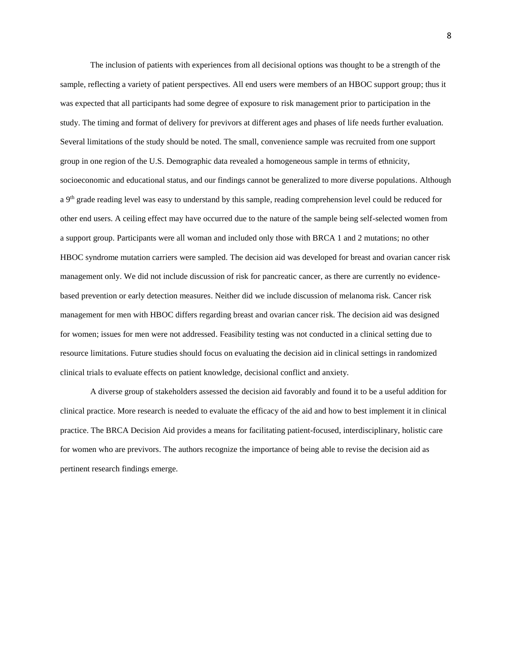The inclusion of patients with experiences from all decisional options was thought to be a strength of the sample, reflecting a variety of patient perspectives. All end users were members of an HBOC support group; thus it was expected that all participants had some degree of exposure to risk management prior to participation in the study. The timing and format of delivery for previvors at different ages and phases of life needs further evaluation. Several limitations of the study should be noted. The small, convenience sample was recruited from one support group in one region of the U.S. Demographic data revealed a homogeneous sample in terms of ethnicity, socioeconomic and educational status, and our findings cannot be generalized to more diverse populations. Although a 9<sup>th</sup> grade reading level was easy to understand by this sample, reading comprehension level could be reduced for other end users. A ceiling effect may have occurred due to the nature of the sample being self-selected women from a support group. Participants were all woman and included only those with BRCA 1 and 2 mutations; no other HBOC syndrome mutation carriers were sampled. The decision aid was developed for breast and ovarian cancer risk management only. We did not include discussion of risk for pancreatic cancer, as there are currently no evidencebased prevention or early detection measures. Neither did we include discussion of melanoma risk. Cancer risk management for men with HBOC differs regarding breast and ovarian cancer risk. The decision aid was designed for women; issues for men were not addressed. Feasibility testing was not conducted in a clinical setting due to resource limitations. Future studies should focus on evaluating the decision aid in clinical settings in randomized clinical trials to evaluate effects on patient knowledge, decisional conflict and anxiety.

A diverse group of stakeholders assessed the decision aid favorably and found it to be a useful addition for clinical practice. More research is needed to evaluate the efficacy of the aid and how to best implement it in clinical practice. The BRCA Decision Aid provides a means for facilitating patient-focused, interdisciplinary, holistic care for women who are previvors. The authors recognize the importance of being able to revise the decision aid as pertinent research findings emerge.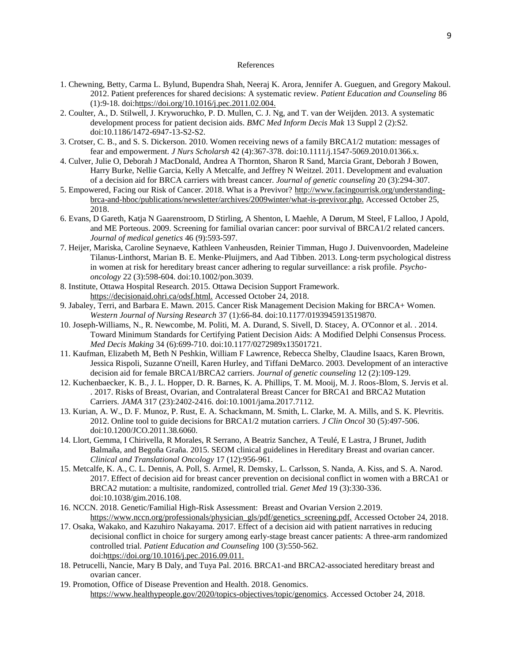#### References

- 1. Chewning, Betty, Carma L. Bylund, Bupendra Shah, Neeraj K. Arora, Jennifer A. Gueguen, and Gregory Makoul. 2012. Patient preferences for shared decisions: A systematic review. *Patient Education and Counseling* 86 (1):9-18. doi:[https://doi.org/10.1016/j.pec.2011.02.004.](ttps://doi.org/10.1016/j.pec.2011.02.004.)
- 2. Coulter, A., D. Stilwell, J. Kryworuchko, P. D. Mullen, C. J. Ng, and T. van der Weijden. 2013. A systematic development process for patient decision aids. *BMC Med Inform Decis Mak* 13 Suppl 2 (2):S2. doi:10.1186/1472-6947-13-S2-S2.
- 3. Crotser, C. B., and S. S. Dickerson. 2010. Women receiving news of a family BRCA1/2 mutation: messages of fear and empowerment. *J Nurs Scholarsh* 42 (4):367-378. doi:10.1111/j.1547-5069.2010.01366.x.
- 4. Culver, Julie O, Deborah J MacDonald, Andrea A Thornton, Sharon R Sand, Marcia Grant, Deborah J Bowen, Harry Burke, Nellie Garcia, Kelly A Metcalfe, and Jeffrey N Weitzel. 2011. Development and evaluation of a decision aid for BRCA carriers with breast cancer. *Journal of genetic counseling* 20 (3):294-307.
- 5. Empowered, Facing our Risk of Cancer. 2018. What is a Previvor? [http://www.facingourrisk.org/understanding](ttp://www.facingourrisk.org/understanding-brca-and-hboc/publications/newsletter/archives/2009winter/what-is-previvor.php.)[brca-and-hboc/publications/newsletter/archives/2009winter/what-is-previvor.php.](ttp://www.facingourrisk.org/understanding-brca-and-hboc/publications/newsletter/archives/2009winter/what-is-previvor.php.) Accessed October 25, 2018.
- 6. Evans, D Gareth, Katja N Gaarenstroom, D Stirling, A Shenton, L Maehle, A Dørum, M Steel, F Lalloo, J Apold, and ME Porteous. 2009. Screening for familial ovarian cancer: poor survival of BRCA1/2 related cancers. *Journal of medical genetics* 46 (9):593-597.
- 7. Heijer, Mariska, Caroline Seynaeve, Kathleen Vanheusden, Reinier Timman, Hugo J. Duivenvoorden, Madeleine Tilanus‐Linthorst, Marian B. E. Menke‐Pluijmers, and Aad Tibben. 2013. Long‐term psychological distress in women at risk for hereditary breast cancer adhering to regular surveillance: a risk profile. *Psychooncology* 22 (3):598-604. doi:10.1002/pon.3039.
- 8. Institute, Ottawa Hospital Research. 2015. Ottawa Decision Support Framework. [https://decisionaid.ohri.ca/odsf.html.](ttps://decisionaid.ohri.ca/odsf.html.) Accessed October 24, 2018.
- 9. Jabaley, Terri, and Barbara E. Mawn. 2015. Cancer Risk Management Decision Making for BRCA+ Women. *Western Journal of Nursing Research* 37 (1):66-84. doi:10.1177/0193945913519870.
- 10. Joseph-Williams, N., R. Newcombe, M. Politi, M. A. Durand, S. Sivell, D. Stacey, A. O'Connor et al. . 2014. Toward Minimum Standards for Certifying Patient Decision Aids: A Modified Delphi Consensus Process. *Med Decis Making* 34 (6):699-710. doi:10.1177/0272989x13501721.
- 11. Kaufman, Elizabeth M, Beth N Peshkin, William F Lawrence, Rebecca Shelby, Claudine Isaacs, Karen Brown, Jessica Rispoli, Suzanne O'neill, Karen Hurley, and Tiffani DeMarco. 2003. Development of an interactive decision aid for female BRCA1/BRCA2 carriers. *Journal of genetic counseling* 12 (2):109-129.
- 12. Kuchenbaecker, K. B., J. L. Hopper, D. R. Barnes, K. A. Phillips, T. M. Mooij, M. J. Roos-Blom, S. Jervis et al. . 2017. Risks of Breast, Ovarian, and Contralateral Breast Cancer for BRCA1 and BRCA2 Mutation Carriers. *JAMA* 317 (23):2402-2416. doi:10.1001/jama.2017.7112.
- 13. Kurian, A. W., D. F. Munoz, P. Rust, E. A. Schackmann, M. Smith, L. Clarke, M. A. Mills, and S. K. Plevritis. 2012. Online tool to guide decisions for BRCA1/2 mutation carriers. *J Clin Oncol* 30 (5):497-506. doi:10.1200/JCO.2011.38.6060.
- 14. Llort, Gemma, I Chirivella, R Morales, R Serrano, A Beatriz Sanchez, A Teulé, E Lastra, J Brunet, Judith Balmaña, and Begoña Graña. 2015. SEOM clinical guidelines in Hereditary Breast and ovarian cancer. *Clinical and Translational Oncology* 17 (12):956-961.
- 15. Metcalfe, K. A., C. L. Dennis, A. Poll, S. Armel, R. Demsky, L. Carlsson, S. Nanda, A. Kiss, and S. A. Narod. 2017. Effect of decision aid for breast cancer prevention on decisional conflict in women with a BRCA1 or BRCA2 mutation: a multisite, randomized, controlled trial. *Genet Med* 19 (3):330-336. doi:10.1038/gim.2016.108.
- 16. NCCN. 2018. Genetic/Familial High-Risk Assessment: Breast and Ovarian Version 2.2019. [https://www.nccn.org/professionals/physician\\_gls/pdf/genetics\\_screening.pdf.](ttps://www.nccn.org/professionals/physician_gls/pdf/genetics_screening.pdf.) Accessed October 24, 2018.
- 17. Osaka, Wakako, and Kazuhiro Nakayama. 2017. Effect of a decision aid with patient narratives in reducing decisional conflict in choice for surgery among early-stage breast cancer patients: A three-arm randomized controlled trial. *Patient Education and Counseling* 100 (3):550-562. doi:[https://doi.org/10.1016/j.pec.2016.09.011.](ttps://doi.org/10.1016/j.pec.2016.09.011.)
- 18. Petrucelli, Nancie, Mary B Daly, and Tuya Pal. 2016. BRCA1-and BRCA2-associated hereditary breast and ovarian cancer.
- 19. Promotion, Office of Disease Prevention and Health. 2018. Genomics. [https://www.healthypeople.gov/2020/topics-objectives/topic/genomics.](https://www.healthypeople.gov/2020/topics-objectives/topic/genomics) Accessed October 24, 2018.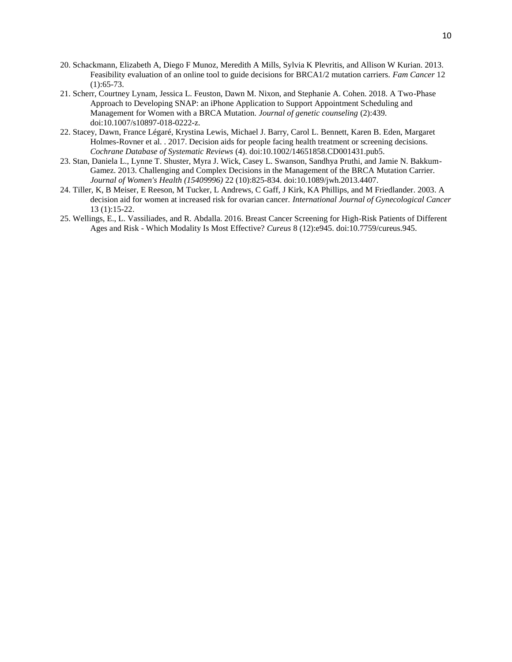- 20. Schackmann, Elizabeth A, Diego F Munoz, Meredith A Mills, Sylvia K Plevritis, and Allison W Kurian. 2013. Feasibility evaluation of an online tool to guide decisions for BRCA1/2 mutation carriers. *Fam Cancer* 12  $(1): 65-73.$
- 21. Scherr, Courtney Lynam, Jessica L. Feuston, Dawn M. Nixon, and Stephanie A. Cohen. 2018. A Two-Phase Approach to Developing SNAP: an iPhone Application to Support Appointment Scheduling and Management for Women with a BRCA Mutation. *Journal of genetic counseling* (2):439. doi:10.1007/s10897-018-0222-z.
- 22. Stacey, Dawn, France Légaré, Krystina Lewis, Michael J. Barry, Carol L. Bennett, Karen B. Eden, Margaret Holmes-Rovner et al. . 2017. Decision aids for people facing health treatment or screening decisions. *Cochrane Database of Systematic Reviews* (4). doi:10.1002/14651858.CD001431.pub5.
- 23. Stan, Daniela L., Lynne T. Shuster, Myra J. Wick, Casey L. Swanson, Sandhya Pruthi, and Jamie N. Bakkum-Gamez. 2013. Challenging and Complex Decisions in the Management of the BRCA Mutation Carrier. *Journal of Women's Health (15409996)* 22 (10):825-834. doi:10.1089/jwh.2013.4407.
- 24. Tiller, K, B Meiser, E Reeson, M Tucker, L Andrews, C Gaff, J Kirk, KA Phillips, and M Friedlander. 2003. A decision aid for women at increased risk for ovarian cancer. *International Journal of Gynecological Cancer* 13 (1):15-22.
- 25. Wellings, E., L. Vassiliades, and R. Abdalla. 2016. Breast Cancer Screening for High-Risk Patients of Different Ages and Risk - Which Modality Is Most Effective? *Cureus* 8 (12):e945. doi:10.7759/cureus.945.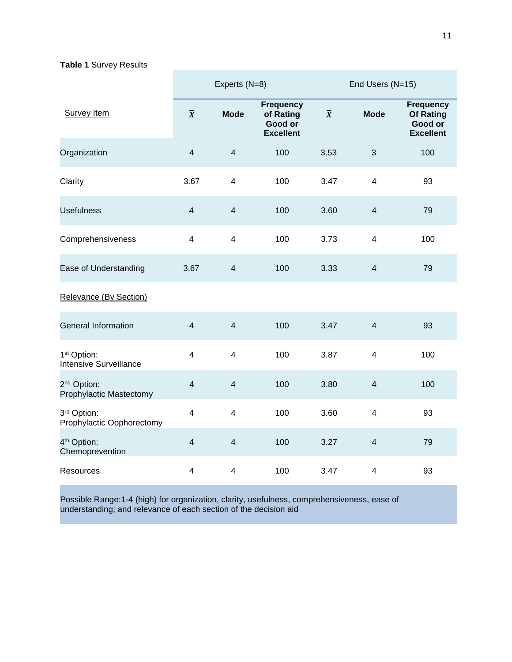# **Table 1** Survey Results

|                                                    | Experts (N=8)            |                         |                                                              | End Users (N=15) |                         |                                                                     |
|----------------------------------------------------|--------------------------|-------------------------|--------------------------------------------------------------|------------------|-------------------------|---------------------------------------------------------------------|
| <b>Survey Item</b>                                 | $\overline{\pmb{X}}$     | <b>Mode</b>             | <b>Frequency</b><br>of Rating<br>Good or<br><b>Excellent</b> | $\overline{X}$   | <b>Mode</b>             | <b>Frequency</b><br><b>Of Rating</b><br>Good or<br><b>Excellent</b> |
| Organization                                       | $\overline{4}$           | $\overline{4}$          | 100                                                          | 3.53             | $\mathfrak{B}$          | 100                                                                 |
| Clarity                                            | 3.67                     | $\overline{\mathbf{4}}$ | 100                                                          | 3.47             | $\overline{4}$          | 93                                                                  |
| <b>Usefulness</b>                                  | $\overline{\mathbf{4}}$  | $\overline{\mathbf{4}}$ | 100                                                          | 3.60             | $\overline{\mathbf{4}}$ | 79                                                                  |
| Comprehensiveness                                  | $\overline{\mathcal{A}}$ | $\overline{\mathbf{4}}$ | 100                                                          | 3.73             | $\overline{4}$          | 100                                                                 |
| Ease of Understanding                              | 3.67                     | $\overline{\mathbf{4}}$ | 100                                                          | 3.33             | $\overline{4}$          | 79                                                                  |
| Relevance (By Section)                             |                          |                         |                                                              |                  |                         |                                                                     |
| <b>General Information</b>                         | $\overline{4}$           | $\overline{4}$          | 100                                                          | 3.47             | $\overline{4}$          | 93                                                                  |
| 1 <sup>st</sup> Option:<br>Intensive Surveillance  | $\overline{4}$           | $\overline{4}$          | 100                                                          | 3.87             | $\overline{4}$          | 100                                                                 |
| 2 <sup>nd</sup> Option:<br>Prophylactic Mastectomy | $\overline{\mathbf{4}}$  | $\overline{\mathbf{4}}$ | 100                                                          | 3.80             | $\overline{\mathbf{4}}$ | 100                                                                 |
| 3rd Option:<br>Prophylactic Oophorectomy           | $\overline{4}$           | 4                       | 100                                                          | 3.60             | $\overline{4}$          | 93                                                                  |
| 4 <sup>th</sup> Option:<br>Chemoprevention         | $\overline{4}$           | $\overline{\mathbf{4}}$ | 100                                                          | 3.27             | $\overline{\mathbf{4}}$ | 79                                                                  |
| Resources                                          | 4                        | 4                       | 100                                                          | 3.47             | $\overline{\mathbf{4}}$ | 93                                                                  |

Possible Range:1-4 (high) for organization, clarity, usefulness, comprehensiveness, ease of understanding; and relevance of each section of the decision aid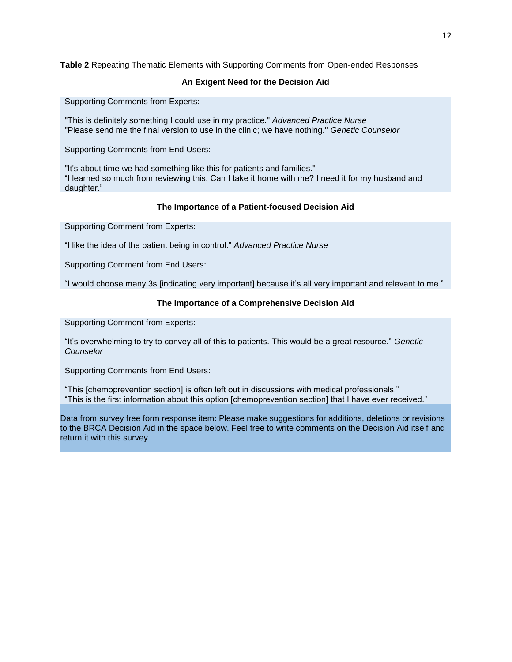**Table 2** Repeating Thematic Elements with Supporting Comments from Open-ended Responses

## **An Exigent Need for the Decision Aid**

Supporting Comments from Experts:

"This is definitely something I could use in my practice." *Advanced Practice Nurse* "Please send me the final version to use in the clinic; we have nothing." *Genetic Counselor*

Supporting Comments from End Users:

"It's about time we had something like this for patients and families." "I learned so much from reviewing this. Can I take it home with me? I need it for my husband and daughter."

## **The Importance of a Patient-focused Decision Aid**

Supporting Comment from Experts:

"I like the idea of the patient being in control." *Advanced Practice Nurse*

Supporting Comment from End Users:

"I would choose many 3s [indicating very important] because it's all very important and relevant to me."

## **The Importance of a Comprehensive Decision Aid**

Supporting Comment from Experts:

"It's overwhelming to try to convey all of this to patients. This would be a great resource." *Genetic Counselor*

Supporting Comments from End Users:

"This [chemoprevention section] is often left out in discussions with medical professionals." "This is the first information about this option [chemoprevention section] that I have ever received."

Data from survey free form response item: Please make suggestions for additions, deletions or revisions to the BRCA Decision Aid in the space below. Feel free to write comments on the Decision Aid itself and return it with this survey